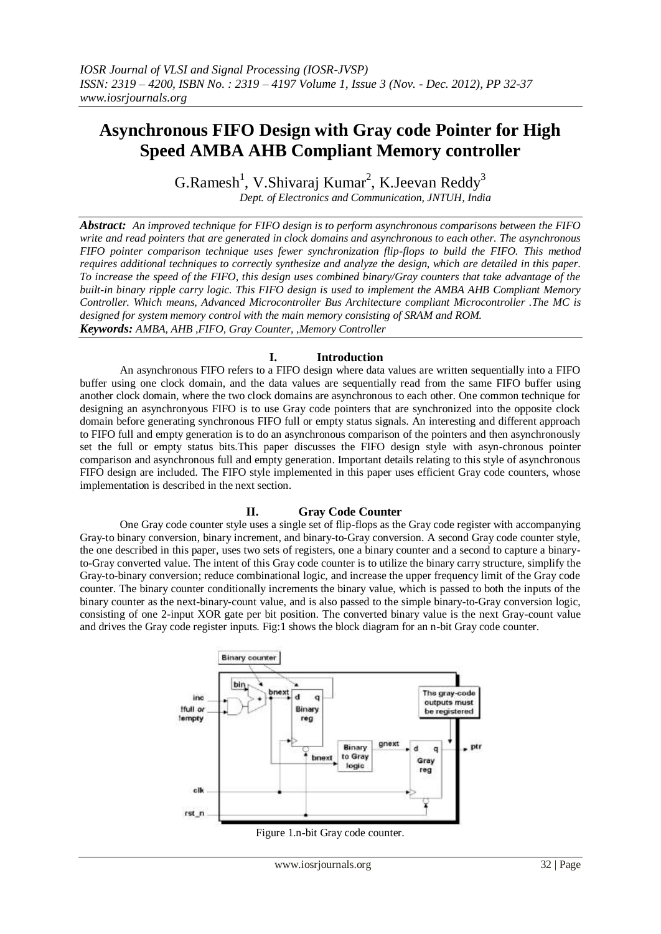# **Asynchronous FIFO Design with Gray code Pointer for High Speed AMBA AHB Compliant Memory controller**

 $G.Ramesh<sup>1</sup>$ , V.Shivaraj Kumar<sup>2</sup>, K.Jeevan Reddy<sup>3</sup>

*Dept. of Electronics and Communication, JNTUH, India*

*Abstract: An improved technique for FIFO design is to perform asynchronous comparisons between the FIFO write and read pointers that are generated in clock domains and asynchronous to each other. The asynchronous FIFO pointer comparison technique uses fewer synchronization flip-flops to build the FIFO. This method requires additional techniques to correctly synthesize and analyze the design, which are detailed in this paper. To increase the speed of the FIFO, this design uses combined binary/Gray counters that take advantage of the built-in binary ripple carry logic. This FIFO design is used to implement the AMBA AHB Compliant Memory Controller. Which means, Advanced Microcontroller Bus Architecture compliant Microcontroller .The MC is designed for system memory control with the main memory consisting of SRAM and ROM. Keywords: AMBA, AHB ,FIFO, Gray Counter, ,Memory Controller*

## **I. Introduction**

An asynchronous FIFO refers to a FIFO design where data values are written sequentially into a FIFO buffer using one clock domain, and the data values are sequentially read from the same FIFO buffer using another clock domain, where the two clock domains are asynchronous to each other. One common technique for designing an asynchronyous FIFO is to use Gray code pointers that are synchronized into the opposite clock domain before generating synchronous FIFO full or empty status signals. An interesting and different approach to FIFO full and empty generation is to do an asynchronous comparison of the pointers and then asynchronously set the full or empty status bits.This paper discusses the FIFO design style with asyn-chronous pointer comparison and asynchronous full and empty generation. Important details relating to this style of asynchronous FIFO design are included. The FIFO style implemented in this paper uses efficient Gray code counters, whose implementation is described in the next section.

### **II. Gray Code Counter**

One Gray code counter style uses a single set of flip-flops as the Gray code register with accompanying Gray-to binary conversion, binary increment, and binary-to-Gray conversion. A second Gray code counter style, the one described in this paper, uses two sets of registers, one a binary counter and a second to capture a binaryto-Gray converted value. The intent of this Gray code counter is to utilize the binary carry structure, simplify the Gray-to-binary conversion; reduce combinational logic, and increase the upper frequency limit of the Gray code counter. The binary counter conditionally increments the binary value, which is passed to both the inputs of the binary counter as the next-binary-count value, and is also passed to the simple binary-to-Gray conversion logic, consisting of one 2-input XOR gate per bit position. The converted binary value is the next Gray-count value and drives the Gray code register inputs. Fig:1 shows the block diagram for an n-bit Gray code counter.



Figure 1.n-bit Gray code counter.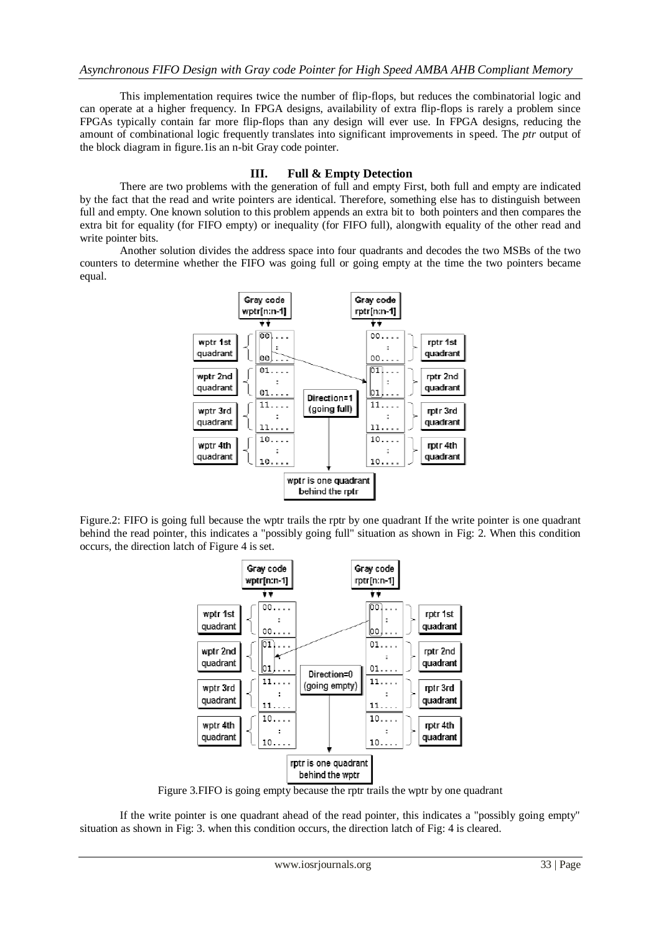This implementation requires twice the number of flip-flops, but reduces the combinatorial logic and can operate at a higher frequency. In FPGA designs, availability of extra flip-flops is rarely a problem since FPGAs typically contain far more flip-flops than any design will ever use. In FPGA designs, reducing the amount of combinational logic frequently translates into significant improvements in speed. The *ptr* output of the block diagram in figure.1is an n-bit Gray code pointer.

### **III. Full & Empty Detection**

There are two problems with the generation of full and empty First, both full and empty are indicated by the fact that the read and write pointers are identical. Therefore, something else has to distinguish between full and empty. One known solution to this problem appends an extra bit to both pointers and then compares the extra bit for equality (for FIFO empty) or inequality (for FIFO full), alongwith equality of the other read and write pointer bits.

 Another solution divides the address space into four quadrants and decodes the two MSBs of the two counters to determine whether the FIFO was going full or going empty at the time the two pointers became equal.



Figure.2: FIFO is going full because the wptr trails the rptr by one quadrant If the write pointer is one quadrant behind the read pointer, this indicates a "possibly going full" situation as shown in Fig: 2. When this condition occurs, the direction latch of Figure 4 is set.



Figure 3.FIFO is going empty because the rptr trails the wptr by one quadrant

 If the write pointer is one quadrant ahead of the read pointer, this indicates a "possibly going empty" situation as shown in Fig: 3. when this condition occurs, the direction latch of Fig: 4 is cleared.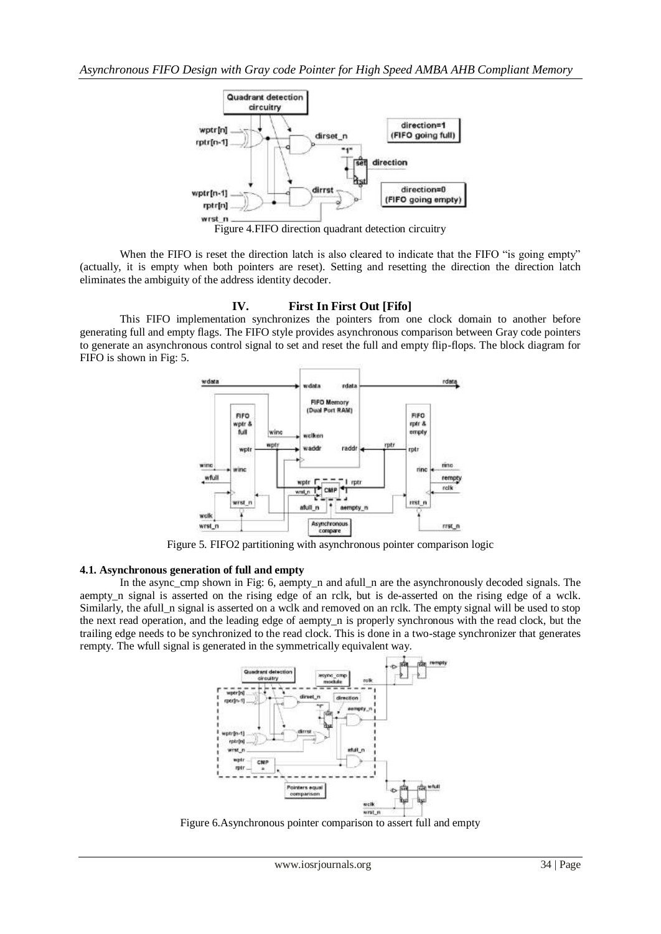

When the FIFO is reset the direction latch is also cleared to indicate that the FIFO "is going empty" (actually, it is empty when both pointers are reset). Setting and resetting the direction the direction latch eliminates the ambiguity of the address identity decoder.

#### **IV. First In First Out [Fifo]**

This FIFO implementation synchronizes the pointers from one clock domain to another before generating full and empty flags. The FIFO style provides asynchronous comparison between Gray code pointers to generate an asynchronous control signal to set and reset the full and empty flip-flops. The block diagram for FIFO is shown in Fig: 5.



Figure 5. FIFO2 partitioning with asynchronous pointer comparison logic

## **4.1. Asynchronous generation of full and empty**

In the async cmp shown in Fig: 6, aempty n and afull n are the asynchronously decoded signals. The aempty\_n signal is asserted on the rising edge of an rclk, but is de-asserted on the rising edge of a wclk. Similarly, the afull\_n signal is asserted on a wclk and removed on an rclk. The empty signal will be used to stop the next read operation, and the leading edge of aempty\_n is properly synchronous with the read clock, but the trailing edge needs to be synchronized to the read clock. This is done in a two-stage synchronizer that generates rempty. The wfull signal is generated in the symmetrically equivalent way.



Figure 6.Asynchronous pointer comparison to assert full and empty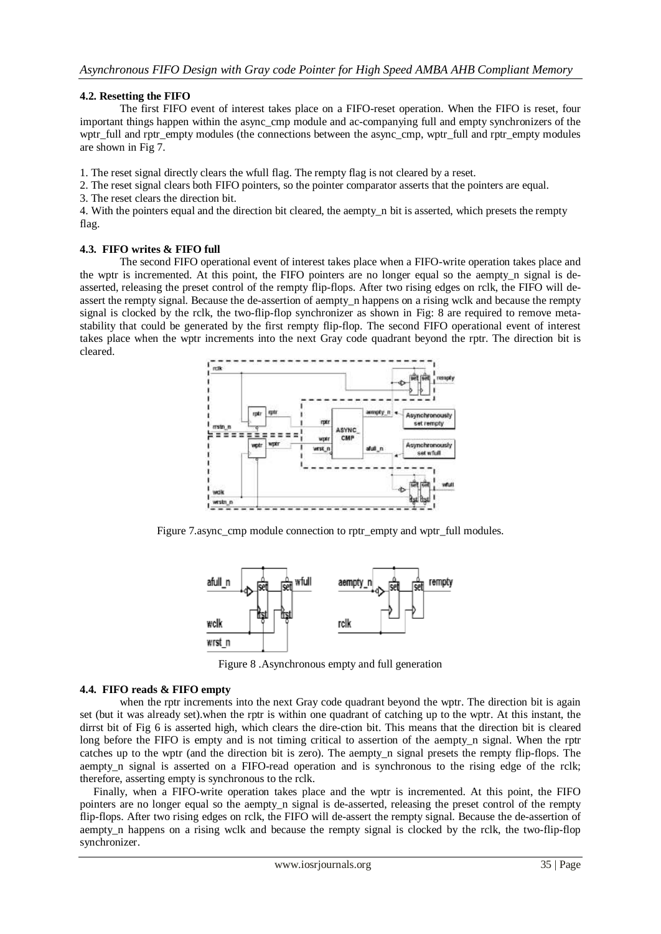## **4.2. Resetting the FIFO**

The first FIFO event of interest takes place on a FIFO-reset operation. When the FIFO is reset, four important things happen within the async\_cmp module and ac-companying full and empty synchronizers of the wptr\_full and rptr\_empty modules (the connections between the async\_cmp, wptr\_full and rptr\_empty modules are shown in Fig 7.

1. The reset signal directly clears the wfull flag. The rempty flag is not cleared by a reset.

2. The reset signal clears both FIFO pointers, so the pointer comparator asserts that the pointers are equal.

3. The reset clears the direction bit.

4. With the pointers equal and the direction bit cleared, the aempty\_n bit is asserted, which presets the rempty flag.

### **4.3. FIFO writes & FIFO full**

The second FIFO operational event of interest takes place when a FIFO-write operation takes place and the wptr is incremented. At this point, the FIFO pointers are no longer equal so the aempty n signal is deasserted, releasing the preset control of the rempty flip-flops. After two rising edges on rclk, the FIFO will deassert the rempty signal. Because the de-assertion of aempty\_n happens on a rising wclk and because the rempty signal is clocked by the rclk, the two-flip-flop synchronizer as shown in Fig: 8 are required to remove metastability that could be generated by the first rempty flip-flop. The second FIFO operational event of interest takes place when the wptr increments into the next Gray code quadrant beyond the rptr. The direction bit is cleared.



Figure 7.async\_cmp module connection to rptr\_empty and wptr\_full modules.



Figure 8 .Asynchronous empty and full generation

### **4.4. FIFO reads & FIFO empty**

when the rptr increments into the next Gray code quadrant beyond the wptr. The direction bit is again set (but it was already set).when the rptr is within one quadrant of catching up to the wptr. At this instant, the dirrst bit of Fig 6 is asserted high, which clears the dire-ction bit. This means that the direction bit is cleared long before the FIFO is empty and is not timing critical to assertion of the aempty<sub>n</sub> signal. When the rptr catches up to the wptr (and the direction bit is zero). The aempty\_n signal presets the rempty flip-flops. The aempty\_n signal is asserted on a FIFO-read operation and is synchronous to the rising edge of the rclk; therefore, asserting empty is synchronous to the rclk.

 Finally, when a FIFO-write operation takes place and the wptr is incremented. At this point, the FIFO pointers are no longer equal so the aempty\_n signal is de-asserted, releasing the preset control of the rempty flip-flops. After two rising edges on rclk, the FIFO will de-assert the rempty signal. Because the de-assertion of aempty\_n happens on a rising wclk and because the rempty signal is clocked by the rclk, the two-flip-flop synchronizer.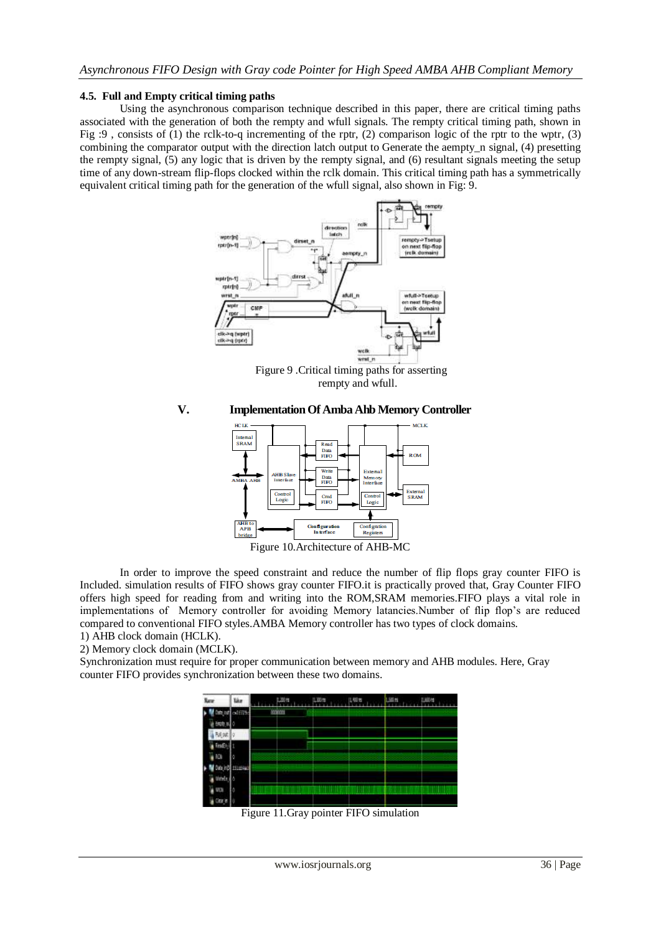#### **4.5. Full and Empty critical timing paths**

Using the asynchronous comparison technique described in this paper, there are critical timing paths associated with the generation of both the rempty and wfull signals. The rempty critical timing path, shown in Fig :9 , consists of (1) the rclk-to-q incrementing of the rptr, (2) comparison logic of the rptr to the wptr, (3) combining the comparator output with the direction latch output to Generate the aempty\_n signal, (4) presetting the rempty signal, (5) any logic that is driven by the rempty signal, and (6) resultant signals meeting the setup time of any down-stream flip-flops clocked within the rclk domain. This critical timing path has a symmetrically equivalent critical timing path for the generation of the wfull signal, also shown in Fig: 9.



 Figure 9 .Critical timing paths for asserting rempty and wfull.





In order to improve the speed constraint and reduce the number of flip flops gray counter FIFO is Included. simulation results of FIFO shows gray counter FIFO.it is practically proved that, Gray Counter FIFO offers high speed for reading from and writing into the ROM,SRAM memories.FIFO plays a vital role in implementations of Memory controller for avoiding Memory latancies.Number of flip flop's are reduced compared to conventional FIFO styles.AMBA Memory controller has two types of clock domains. 1) AHB clock domain (HCLK).

2) Memory clock domain (MCLK).

Synchronization must require for proper communication between memory and AHB modules. Here, Gray counter FIFO provides synchronization between these two domains.

| New             | Taker   |         | 11,000 | 1,48% | <b>ILL IN</b> | <b>Alliant</b> |
|-----------------|---------|---------|--------|-------|---------------|----------------|
|                 | odEIB   | nodonus |        |       |               |                |
|                 |         |         |        |       |               |                |
|                 |         |         |        |       |               |                |
|                 |         |         |        |       |               |                |
| RO <sub>1</sub> | o       |         |        |       |               |                |
|                 | 1110940 |         |        |       |               |                |
| Uth!            |         |         |        |       |               |                |
| w               |         |         |        |       |               |                |
|                 |         |         |        |       |               |                |

Figure 11.Gray pointer FIFO simulation